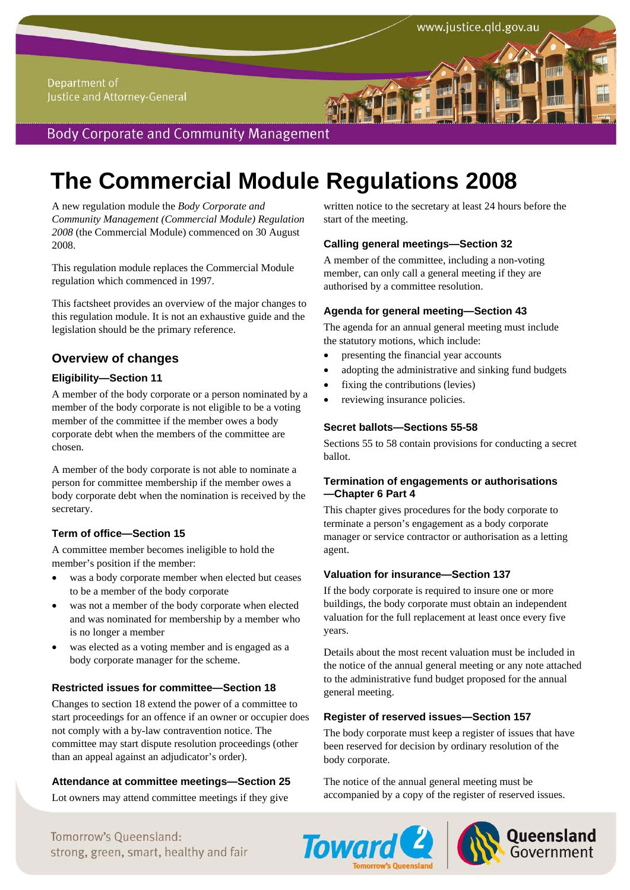# **The Commercial Module Regulations 2008**

A new regulation module the *Body Corporate and Community Management (Commercial Module) Regulation 2008* (the Commercial Module) commenced on 30 August 2008.

This regulation module replaces the Commercial Module regulation which commenced in 1997.

This factsheet provides an overview of the major changes to this regulation module. It is not an exhaustive guide and the legislation should be the primary reference.

# **Overview of changes**

### **Eligibility—Section 11**

A member of the body corporate or a person nominated by a member of the body corporate is not eligible to be a voting member of the committee if the member owes a body corporate debt when the members of the committee are chosen.

A member of the body corporate is not able to nominate a person for committee membership if the member owes a body corporate debt when the nomination is received by the secretary.

# **Term of office—Section 15**

A committee member becomes ineligible to hold the member's position if the member:

- was a body corporate member when elected but ceases to be a member of the body corporate
- was not a member of the body corporate when elected and was nominated for membership by a member who is no longer a member
- was elected as a voting member and is engaged as a body corporate manager for the scheme.

#### **Restricted issues for committee—Section 18**

Changes to section 18 extend the power of a committee to start proceedings for an offence if an owner or occupier does not comply with a by-law contravention notice. The committee may start dispute resolution proceedings (other than an appeal against an adjudicator's order).

# **Attendance at committee meetings—Section 25**

Lot owners may attend committee meetings if they give

written notice to the secretary at least 24 hours before the start of the meeting.

www.justice.qld.gov.au

### **Calling general meetings—Section 32**

A member of the committee, including a non-voting member, can only call a general meeting if they are authorised by a committee resolution.

### **Agenda for general meeting—Section 43**

The agenda for an annual general meeting must include the statutory motions, which include:

- presenting the financial year accounts
- adopting the administrative and sinking fund budgets
- fixing the contributions (levies)
- reviewing insurance policies.

### **Secret ballots—Sections 55-58**

Sections 55 to 58 contain provisions for conducting a secret ballot.

#### **Termination of engagements or authorisations —Chapter 6 Part 4**

This chapter gives procedures for the body corporate to terminate a person's engagement as a body corporate manager or service contractor or authorisation as a letting agent.

#### **Valuation for insurance—Section 137**

If the body corporate is required to insure one or more buildings, the body corporate must obtain an independent valuation for the full replacement at least once every five years.

Details about the most recent valuation must be included in the notice of the annual general meeting or any note attached to the administrative fund budget proposed for the annual general meeting.

# **Register of reserved issues—Section 157**

The body corporate must keep a register of issues that have been reserved for decision by ordinary resolution of the body corporate.

The notice of the annual general meeting must be accompanied by a copy of the register of reserved issues.





Tomorrow's Oueensland: strong, green, smart, healthy and fair **COWATA REGISTER AND Government**